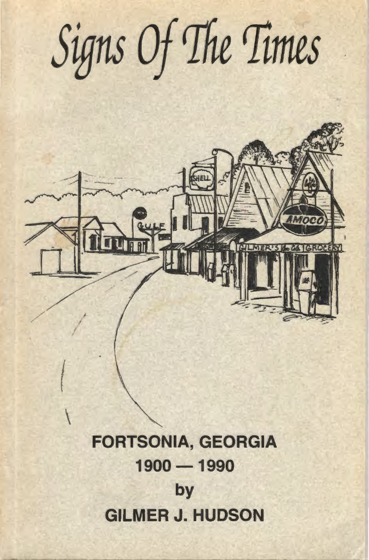Signs Of The Times ROCERY *,.f*  j */*  I *{*   $\begin{matrix} \end{matrix}$ FORTSONIA, GEORGIA 1900-1990

by GILMER J. HUDSON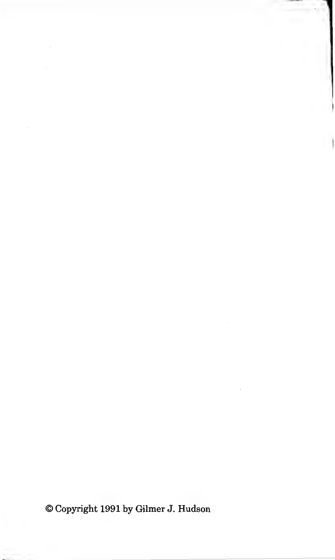©Copyright 1991 by Gilmer J. Hudson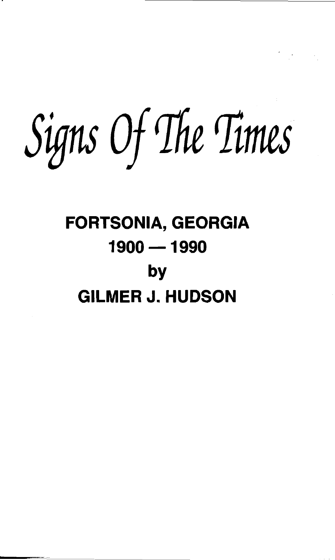Signs Of The Times

## FORTSONIA, GEORGIA 1900-1990 by GILMER J. HUDSON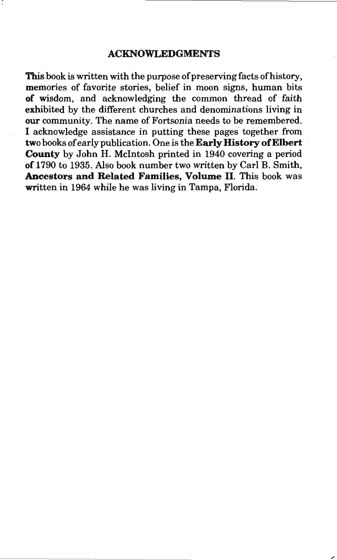#### **ACKNOWLEDGMENTS**

This book is written with the purpose of preserving facts of history, memories of favorite stories, belief in moon signs, human bits **of** wisdom, and acknowledging the common thread of faith exhibited by the different churches and denominations living in **our** community. The name of Fortsonia needs to be remembered. I acknowledge assistance in putting these pages together from two books of early publication. One is the **Early History of Elbert County** by John H. Mcintosh printed in 1940 covering a period **of** 1790 to 1935. Also book number two written by Carl B. Smith, **Ancestors and Related Families, Volume** II. This book was written in 1964 while he was living in Tampa, Florida.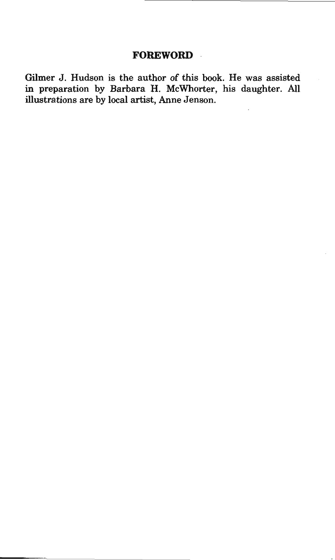#### **FOREWORD**

Gilmer J. Hudson is the author of this book. He was assisted in preparation by Barbara H. McWhorter, his daughter. All illustrations are by local artist, Anne Jenson.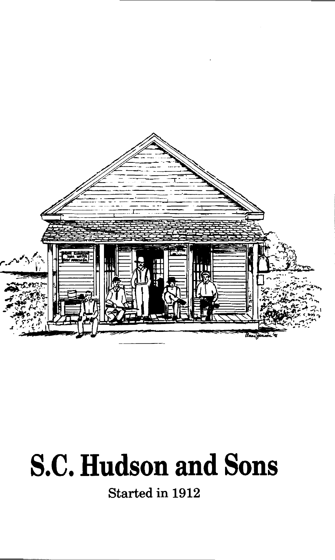

# S.C. **Hudson and Sons**

Started in 1912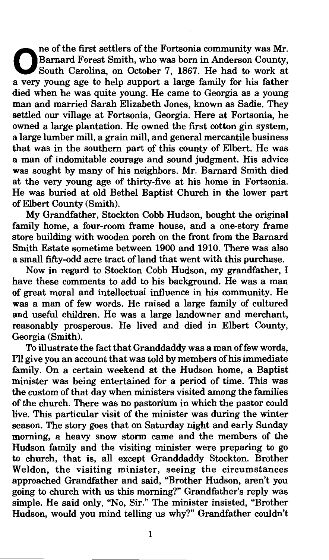ne of the first settlers of the Fortsonia community was Mr.<br>Barnard Forest Smith, who was born in Anderson County,<br>South Carolina, on October 7, 1867. He had to work at South Carolina, on October 7, 1867. He had to work at a very young age to help support a large family for his father died when he was quite young. He came to Georgia as a young man and married Sarah Elizabeth Jones, known as Sadie. They settled our village at Fortsonia, Georgia. Here at Fortsonia, he owned a large plantation. He owned the first cotton gin system, a large lumber mill, a grain mill, and general mercantile business that was in the southern part of this county of Elbert. He was a man of indomitable courage and sound judgment. His advice was sought by many of his neighbors. Mr. Barnard Smith died at the very young age of thirty-five at his home in Fortsonia. He was buried at old Bethel Baptist Church in the lower part of Elbert County (Smith).

My Grandfather, Stockton Cobb Hudson, bought the original family home, a four-room frame house, and a one-story frame store building with wooden porch on the front from the Barnard Smith Estate sometime between 1900 and 1910. There was also a small fifty-odd acre tract of land that went with this purchase.

Now in regard to Stockton Cobb Hudson, my grandfather, I have these comments to add to his background. He was a man of great moral and intellectual influence in his community. He was a man of few words. He raised a large family of cultured and useful children. He was a large landowner and merchant, reasonably prosperous. He lived and died in Elbert County, Georgia (Smith).

To illustrate the fact that Granddaddy was a man of few words, I'll give you an account that was told by members of his immediate family. On a certain weekend at the Hudson home, a Baptist minister was being entertained for a period of time. This was the custom of that day when ministers visited among the families of the church. There was no pastorium in which the pastor could live. This particular visit of the minister was during the winter season. The story goes that on Saturday night and early Sunday morning, a heavy snow storm came and the members of the Hudson family and the visiting minister were preparing to go to church, that is, all except Granddaddy Stockton. Brother Weldon, the visiting minister, seeing the circumstances approached Grandfather and said, "Brother Hudson, aren't you going to church with us this morning?" Grandfather's reply was simple. He said only, "No, Sir." The minister insisted, "Brother Hudson, would you mind telling us why?" Grandfather couldn't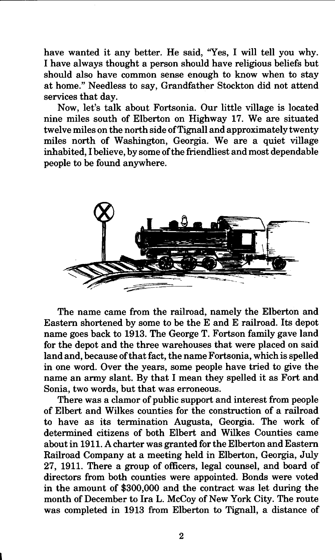have wanted it any better. He said, "Yes, I will tell you why. I have always thought a person should have religious beliefs but should also have common sense enough to know when to stay at home." Needless to say, Grandfather Stockton did not attend services that day.

Now, let's talk about Fortsonia. Our little village is located nine miles south of Elberton on Highway 17. We are situated twelve miles on the north side of Tignall and approximately twenty miles north of Washington, Georgia. We are a quiet village inhabited, I believe, by some of the friendliest and most dependable people to be found anywhere.



The name came from the railroad, namely the Elberton and Eastern shortened by some to be the E and E railroad. Its depot name goes back to 1913. The George T. Fortson family gave land for the depot and the three warehouses that were placed on said land and, because of that fact, the name Fortsonia, which is spelled in one word. Over the years, some people have tried to give the name an army slant. By that I mean they spelled it as Fort and Sonia, two words, but that was erroneous.

There was a clamor of public support and interest from people of Elbert and Wilkes counties for the construction of a railroad to have as its termination Augusta, Georgia. The work of determined citizens of both Elbert and Wilkes Counties came about in 1911. A charter was granted for the Elberton and Eastern Railroad Company at a meeting held in Elberton, Georgia, July 27, 1911. There a group of officers, legal counsel, and board of directors from both counties were appointed. Bonds were voted in the amount of \$300,000 and the contract was let during the month of December to Ira L. McCoy of New York City. The route was completed in 1913 from Elberton to Tignall, a distance of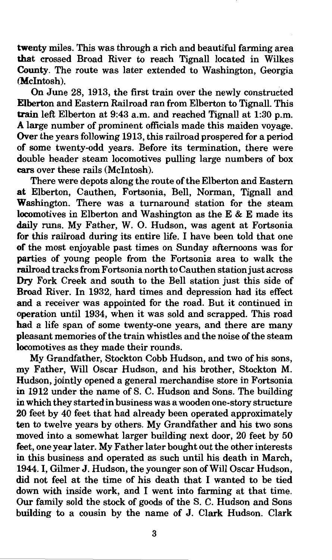twenty miles. This was through a rich and beautiful farming area that crossed Broad River to reach Tignall located in Wilkes County. The route was later extended to Washington, Georgia (McIntosh).

On June 28, 1913, the first train over the newly constructed Elberton and Eastern Railroad ran from Elberton to Tignall. This train left Elberton at 9:43 a.m. and reached Tignall at 1:30 p.m. A large number of prominent officials made this maiden voyage. Over the years following 1913, this railroad prospered for a period of some twenty-odd years. Before its termination, there were double header steam locomotives pulling large numbers of box cars over these rails (McIntosh).

There were depots along the route of the Elberton and Eastern at Elberton, Cauthen, Fortsonia, Bell, Norman, Tignall and Washington. There was a turnaround station for the steam locomotives in Elberton and Washington as the E & E made its daily runs. My Father, W. O. Hudson, was agent at Fortsonia for this railroad during its entire life. I have been told that one of the most enjoyable past times on Sunday afternoons was for parties of young people from the Fortsonia area to walk the railroad tracks from Fortsonia north to Cauthen station just across Dry Fork Creek and south to the Bell station just this side of Broad River. In 1932, hard times and depression had its effect and a receiver was appointed for the road. But it continued in operation until 1934, when it was sold and scrapped. This road had a life span of some twenty-one years, and there are many pleasant memories of the train whistles and the noise of the steam locomotives as they made their rounds.

My Grandfather, Stockton Cobb Hudson, and two of his sons, my Father, Will Oscar Hudson, and his brother, Stockton M. Hudson, jointly opened a general merchandise store in Fortsonia in 1912 under the name of S. C. Hudson and Sons. The building in which they started in business was a wooden one-story structure 20 feet by 40 feet that had already been operated approximately ten to twelve years by others. My Grandfather and his two sons moved into a somewhat larger building next door, 20 feet by 50 feet, one year later. My Father later bought out the other interests in this business and operated as such until his death in March, 1944. I, Gilmer J. Hudson, the younger son of Will Oscar Hudson, did not feel at the time of his death that I wanted to be tied down with inside work, and I went into farming at that time. Our family sold the stock of goods of the S. C. Hudson and Sons building to a cousin by the name of J. Clark Hudson. Clark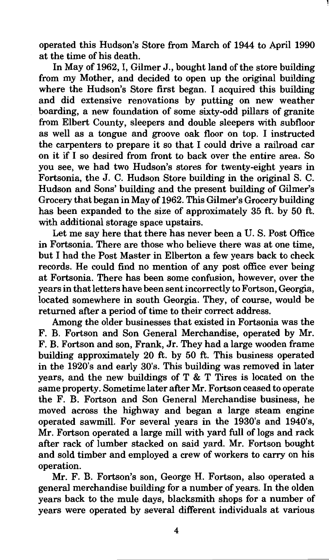operated this Hudson's Store from March of 1944 to April 1990 at the time of his death.

In May of 1962, I, Gilmer J., bought land of the store building from my Mother, and decided to open up the original building where the Hudson's Store first began. I acquired this building and did extensive renovations by putting on new weather boarding, a new foundation of some sixty-odd pillars of granite from Elbert County, sleepers and double sleepers with subfloor as well as a tongue and groove oak floor on top. I instructed the carpenters to prepare it so that I could drive a railroad car on it if I so desired from front to back over the entire area. So you see, we had two Hudson's stores for twenty-eight years in Fortsonia, the J. C. Hudson Store building in the original S. C. Hudson and Sons' building and the present building of Gilmer's Grocery that began in May of 1962. This Gilmer's Grocery building has been expanded to the size of approximately 35 ft. by 50 ft. with additional storage space upstairs.

Let me say here that there has never been a U.S. Post Office in Fortsonia. There are those who believe there was at one time, but I had the Post Master in Elberton a few years back to check records. He could find no mention of any post office ever being at Fortsonia. There has been some confusion, however, over the years in that letters have been sent incorrectly to Fortson, Georgia, located somewhere in south Georgia. They, of course, would be returned after a period of time to their correct address.

Among the older businesses that existed in Fortsonia was the F. B. Fortson and Son General Merchandise, operated by Mr. F. B. Fortson and son, Frank, Jr. They had a large wooden frame building approximately 20 ft. by 50 ft. This business operated in the 1920's and early 30's. This building was removed in later years, and the new buildings of T & T Tires is located on the same property. Sometime later after Mr. Fortson ceased to operate the F. B. Fortson and Son General Merchandise business, he moved across the highway and began a large steam engine operated sawmill. For several years in the 1930's and 1940's, Mr. Fortson operated a large mill with yard full of logs and rack after rack of lumber stacked on said yard. Mr. Fortson bought and sold timber and employed a crew of workers to carry on his operation.

Mr. F. B. Fortson's son, George H. Fortson, also operated a general merchandise building for a number of years. In the olden years back to the mule days, blacksmith shops for a number of years were operated by several different individuals at various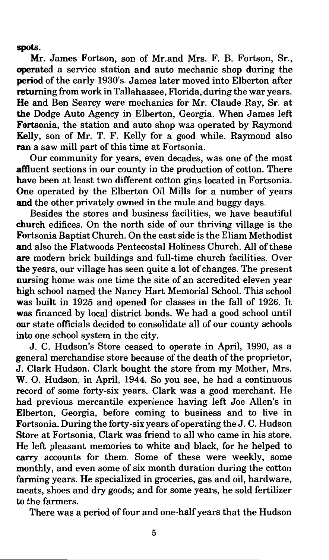spots.

Mr. James Fortson, son of Mr.and Mrs. F. B. Fortson, Sr., operated a service station and auto mechanic shop during the period of the early 1930's. James later moved into Elberton after returning from work in Tallahassee, Florida, during the war years. He and Ben Searcy were mechanics for Mr. Claude Ray, Sr. at the Dodge Auto Agency in Elberton, Georgia. When James left Fortsonia, the station and auto shop was operated by Raymond Kelly, son of Mr. T. F. Kelly for a good while. Raymond also ran a saw mill part of this time at Fortsonia.

Our community for years, even decades, was one of the most affluent sections in our county in the production of cotton. There have been at least two different cotton gins located in Fortsonia. One operated by the Elberton Oil Mills for a number of years and the other privately owned in the mule and buggy days.

Besides the stores and business facilities, we have beautiful church edifices. On the north side of our thriving village is the Fortsonia Baptist Church. On the east side is the Eliam Methodist and also the Flatwoods Pentecostal Holiness Church. All of these are modern brick buildings and full-time church facilities. Over the years, our village has seen quite a lot of changes. The present nursing home was one time the site of an accredited eleven year high school named the Nancy Hart Memorial School. This school was built in 1925 and opened for classes in the fall of 1926. It was financed by local district bonds. We had a good school until our state officials decided to consolidate all of our county schools into one school system in the city.

J. C. Hudson's Store ceased to operate in April, 1990, as a general merchandise store because of the death of the proprietor, J. Clark Hudson. Clark bought the store from my Mother, Mrs. W. 0. Hudson, in April, 1944. So you see, he had a continuous record of some forty-six years. Clark was a good merchant. He had previous mercantile experience having left Joe Allen's in Elberton, Georgia, before coming to business and to live in Fortsonia. During the forty-six years of operating the J. C. Hudson Store at Fortsonia, Clark was friend to all who came in his store. He left pleasant memories to white and black, for he helped to carry accounts for them. Some of these were weekly, some monthly, and even some of six month duration during the cotton farming years. He specialized in groceries, gas and oil, hardware, meats, shoes and dry goods; and for some years, he sold fertilizer to the farmers.

There was a period of four and one-half years that the Hudson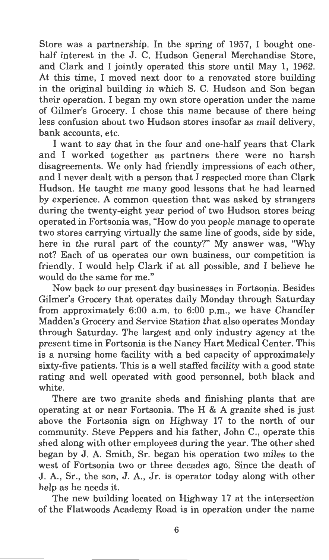Store was a partnership. In the spring of 1957, I bought onehalf interest in the J. C. Hudson General Merchandise Store, and Clark and I jointly operated this store until May 1, 1962. At this time, I moved next door to a renovated store building in the original building in which S. C. Hudson and Son began their operation. I began my own store operation under the name of Gilmer's Grocery. I chose this name because of there being less confusion about two Hudson stores insofar as mail delivery, bank accounts, etc.

I want to say that in the four and one-half years that Clark and I worked together as partners there were no harsh disagreements. We only had friendly impressions of each other, and I never dealt with a person that I respected more than Clark Hudson. He taught me many good lessons that he had learned by experience. A common question that was asked by strangers during the twenty-eight year period of two Hudson stores being operated in Fortsonia was, "How do you people manage to operate two stores carrying virtually the same line of goods, side by side, here in the rural part of the county?" My answer was, "Why not? Each of us operates our own business, our competition is friendly. I would help Clark if at all possible, and I believe he would do the same for me."

Now back to our present day businesses in Fortsonia. Besides Gilmer's Grocery that operates daily Monday through Saturday from approximately 6:00 a.m. to 6:00 p.m., we have Chandler Madden's Grocery and Service Station that also operates Monday through Saturday. The largest and only industry agency at the present time in Fortsonia is the Nancy Hart Medical Center. This is a nursing home facility with a bed capacity of approximately sixty-five patients. This is a well staffed facility with a good state rating and well operated with good personnel, both black and white.

There are two granite sheds and finishing plants that are operating at or near Fortsonia. The H & A granite shed is just above the Fortsonia sign on Highway 17 to the north of our community. Steve Peppers and his father, John C., operate this shed along with other employees during the year. The other shed began by J. A. Smith, Sr. began his operation two miles to the west of Fortsonia two or three decades ago. Since the death of J. A., Sr., the son, J. A., Jr. is operator today along with other help as he needs it.

The new building located on Highway 17 at the intersection of the Flatwoods Academy Road is in operation under the name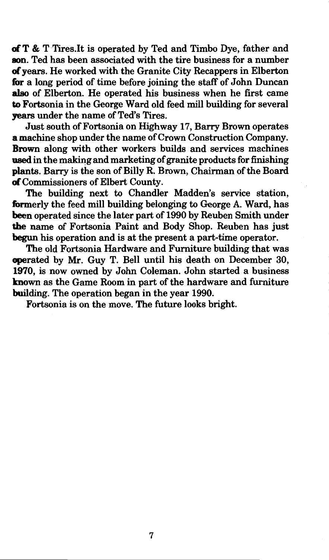ofT & T Tires .It is operated by Ted and Timbo Dye, father and son. Ted has been associated with the tire business for a number of years. He worked with the Granite City Recappers in Elberton for a long period of time before joining the staff of John Duncan also of Elberton. He operated his business when he first came to Fortsonia in the George Ward old feed mill building for several years under the name of Ted's Tires.

Just south of Fortsonia on Highway 17, Barry Brown operates a machine shop under the name of Crown Construction Company. Brown along with other workers builds and services machines used in the making and marketing of granite products for finishing plants. Barry is the son of Billy R. Brown, Chairman of the Board ofCommissioners of Elbert County.

The building next to Chandler Madden's service station, formerly the feed mill building belonging to George A. Ward, has been operated since the later part of 1990 by Reuben Smith under the name of Fortsonia Paint and Body Shop. Reuben has just begun his operation and is at the present a part-time operator.

The old Fortsonia Hardware and Furniture building that was operated by Mr. Guy T. Bell until his death on December 30, 1970, is now owned by John Coleman. John started a business known as the Game Room in part of the hardware and furniture building. The operation began in the year 1990.

Fortsonia is on the move. The future looks bright.

7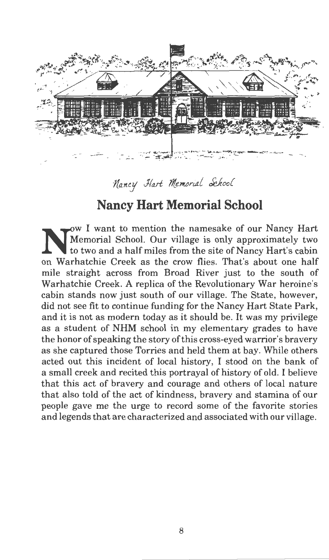

 $\n *Mancy*\n *Hart Memorial*\n *Sehool*$ 

### **Nancy Hart Memorial School**

N W I want to mention the namesake of our Nancy Hart Memorial School. Our village is only approximately two to two and a half miles from the site of Nancy Hart's schip to two and a half miles from the site of Nancy Hart's cabin on Warhatchie Creek as the crow flies. That's about one half mile straight across from Broad River just to the south of Warhatchie Creek. A replica of the Revolutionary War heroine's cabin stands now just south of our village. The State, however, did not see fit to continue funding for the Nancy Hart State Park, and it is not as modern today as it should be. It was my privilege as a student of NHM school in my elementary grades to have the honor of speaking the story of this cross-eyed warrior's bravery as she captured those Torries and held them at bay. While others acted out this incident of local history, I stood on the bank of a small creek and recited this portrayal of history of old. I believe that this act of bravery and courage and others of local nature that also told of the act of kindness, bravery and stamina of our people gave me the urge to record some of the favorite stories and legends that are characterized and associated with our village.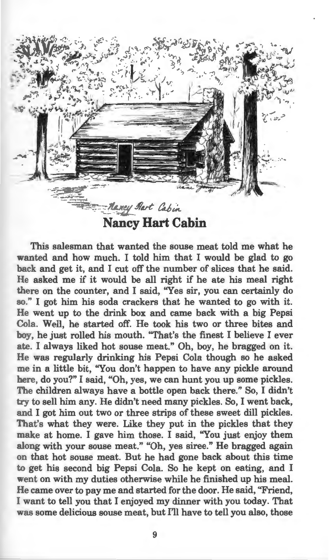

**Nancy Hart Cabin** 

This salesman that wanted the souse meat told me what he wanted and how much. I told him that I would be glad to go back and get it, and I cut off the number of slices that he said. He asked me if it would be all right if he ate his meal right there on the counter, and I said, ''Yes sir, you can certainly do so." I got him his soda crackers that he wanted to go with it. He went up to the drink box and came back with a big Pepsi Cola. Well, he started off. He took his two or three bites and boy, he just rolled his mouth. "That's the finest I believe I ever ate. I always liked hot souse meat." Oh, boy, he bragged on it. He was regularly drinking his Pepsi Cola though so he asked me in a little bit, ''You don't happen to have any pickle around here, do you?" I said, "Oh, yes, we can hunt you up some pickles. The children always have a bottle open back there." So, I didn't try to sell him any. He didn't need many pickles. So, I went back, and I got him out two or three strips of these sweet dill pickles. That's what they were. Like they put in the pickles that they make at home. I gave him those. I said, ''You just enjoy them along with your souse meat." "Oh, yes siree." He bragged again on that hot souse meat. But he had gone back about this time to get his second big Pepsi Cola. So he kept on eating, and I went on with my duties otherwise while he finished up his meal. He came over to pay me and started for the door. He said, "Friend, I want to tell you that I enjoyed my dinner with you today. That was some delicious souse meat, but I'll have to tell you also, those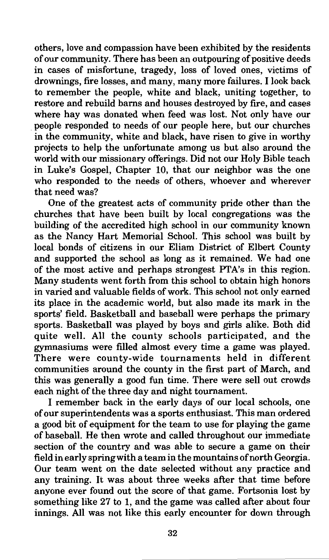others, love and compassion have been exhibited by the residents of our community. There has been an outpouring of positive deeds in cases of misfortune, tragedy, loss of loved ones, victims of drownings, fire losses, and many, many more failures. I look back to remember the people, white and black, uniting together, to restore and rebuild barns and houses destroyed by fire, and cases where hay was donated when feed was lost. Not only have our people responded to needs of our people here, but our churches in the community, white and black, have risen to give in worthy projects to help the unfortunate among us but also around the world with our missionary offerings. Did not our Holy Bible teach in Luke's Gospel, Chapter 10, that our neighbor was the one who responded to the needs of others, whoever and wherever that need was?

One of the greatest acts of community pride other than the churches that have been built by local congregations was the building of the accredited high school in our community known as the Nancy Hart Memorial School. This school was built by local bonds of citizens in our Eliam District of Elbert County and supported the school as long as it remained. We had one of the most active and perhaps strongest PTA's in this region. Many students went forth from this school to obtain high honors in varied and valuable fields of work. This school not only earned its place in the academic world, but also made its mark in the sports' field. Basketball and baseball were perhaps the primary sports. Basketball was played by boys and girls alike. Both did quite well. All the county schools participated, and the gymnasiums were filled almost every time a game was played. There were county-wide tournaments held in different communities around the county in the first part of March, and this was generally a good fun time. There were sell out crowds each night of the three day and night tournament.

I remember back in the early days of our local schools, one of our superintendents was a sports enthusiast. This man ordered a good bit of equipment for the team to use for playing the game of baseball. He then wrote and called throughout our immediate section of the country and was able to secure a game on their field in early spring with a team in the mountains of north Georgia. Our team went on the date selected without any practice and any training. It was about three weeks after that time before anyone ever found out the score of that game. Fortsonia lost by something like 27 to 1, and the game was called after about four innings. All was not like this early encounter for down through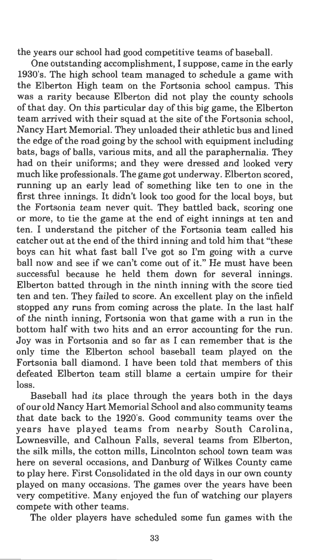the years our school had good competitive teams of baseball.

One outstanding accomplishment, I suppose, came in the early 1930's. The high school team managed to schedule a game with the Elberton High team on the Fortsonia school campus. This was a rarity because Elberton did not play the county schools of that day. On this particular day of this big game, the Elberton team arrived with their squad at the site of the Fortsonia school, Nancy Hart Memorial. They unloaded their athletic bus and lined the edge of the road going by the school with equipment including bats, bags of balls, various mits, and all the paraphernalia. They had on their uniforms; and they were dressed and looked very much like professionals. The game got underway. Elberton scored, running up an early lead of something like ten to one in the first three innings. It didn't look too good for the local boys, but the Fortsonia team never quit. They battled back, scoring one or more, to tie the game at the end of eight innings at ten and ten. I understand the pitcher of the Fortsonia team called his catcher out at the end of the third inning and told him that "these boys can hit what fast ball I've got so I'm going with a curve ball now and see if we can't come out of it." He must have been successful because he held them down for several innings. Elberton batted through in the ninth inning with the score tied ten and ten. They failed to score. An excellent play on the infield stopped any runs from coming across the plate. In the last half of the ninth inning, Fortsonia won that game with a run in the bottom half with two hits and an error accounting for the run. Joy was in Fortsonia and so far as I can remember that is the only time the Elberton school baseball team played on the Fortsonia ball diamond. I have been told that members of this defeated Elberton team still blame a certain umpire for their loss.

Baseball had its place through the years both in the days of our old Nancy Hart Memorial School and also community teams that date back to the 1920's. Good community teams over the years have played teams from nearby South Carolina, Lownesville, and Calhoun Falls, several teams from Elberton, the silk mills, the cotton mills, Lincolnton school town team was here on several occasions, and Danburg of Wilkes County came to play here. First Consolidated in the old days in our own county played on many occasions. The games over the years have been very competitive. Many enjoyed the fun of watching our players compete with other teams.

The older players have scheduled some fun games with the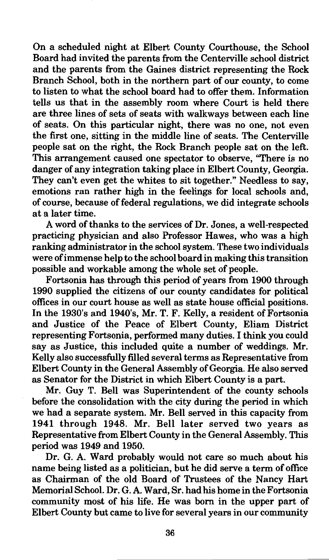On a scheduled night at Elbert County Courthouse, the School Board had invited the parents from the Centerville school district and the parents from the Gaines district representing the Rock Branch School, both in the northern part of our county, to come to listen to what the school board had to offer them. Information tells us that in the assembly room where Court is held there are three lines of sets of seats with walkways between each line of seats. On this particular night, there was no one, not even the first one, sitting in the middle line of seats. The Centerville people sat on the right, the Rock Branch people sat on the left. This arrangement caused one spectator to observe, "There is no danger of any integration taking place in Elbert County, Georgia. They can't even get the whites to sit together." Needless to say, emotions ran rather high in the feelings for local schools and, of course, because of federal regulations, we did integrate schools at a later time.

A word of thanks to the services of Dr. Jones, a well-respected practicing physician and also Professor Hawes, who was a high ranking administrator in the school system. These two individuals were of immense help to the school board in making this transition possible and workable among the whole set of people.

Fortsonia has through this period of years from 1900 through 1990 supplied the citizens of our county candidates for political offices in our court house as well as state house official positions. In the 1930's and 1940's, Mr. T. F. Kelly, a resident of Fortsonia and Justice of the Peace of Elbert County, Eliam District representing Fortsonia, performed many duties. I think you could say as Justice, this included quite a number of weddings. Mr. Kelly also successfully filled several terms as Representative from Elbert County in the General Assembly of Georgia. He also served as Senator for the District in which Elbert County is a part.

Mr. Guy T. Bell was Superintendent of the county schools before the consolidation with the city during the period in which we had a separate system. Mr. Bell served in this capacity from 1941 through 1948. Mr. Bell later served two years as Representative from Elbert County in the General Assembly. This period was 1949 and 1950.

Dr. G. A. Ward probably would not care so much about his name being listed as a politician, but he did serve a term of office as Chairman of the old Board of Trustees of the Nancy Hart Memorial School. Dr. G. A. Ward, Sr. had his home in the Fortsonia community most of his life. He was born in the upper part of Elbert County but came to live for several years in our community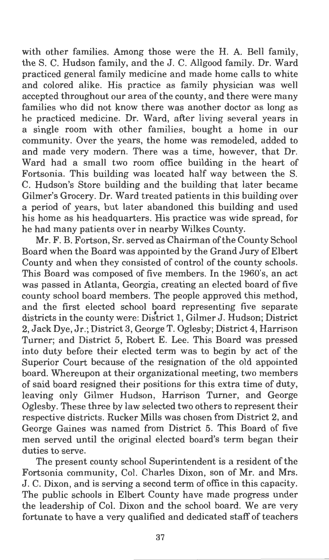with other families. Among those were the H. A. Bell family, the S. C. Hudson family, and the J. C. Allgood family. Dr. Ward practiced general family medicine and made home calls to white and colored alike. His practice as family physician was well accepted throughout our area of the county, and there were many families who did not know there was another doctor as long as he practiced medicine. Dr. Ward, after living several years in a single room with other families, bought a home in our community. Over the years, the home was remodeled, added to and made very modern. There was a time, however, that Dr. Ward had a small two room office building in the heart of Fortsonia. This building was located half way between the S. C. Hudson's Store building and the building that later became Gilmer's Grocery. Dr. Ward treated patients in this building over a period of years, but later abandoned this building and used his home as his headquarters. His practice was wide spread, for he had many patients over in nearby Wilkes County.

Mr. F. B. Fortson, Sr. served as Chairman of the County School Board when the Board was appointed by the Grand Jury of Elbert County and when they consisted of control of the county schools. This Board was composed of five members. In the 1960's, an act was passed in Atlanta, Georgia, creating an elected board of five county school board members. The people approved this method, and the first elected school board representing five separate districts in the county were: District 1, Gilmer J. Hudson; District 2, Jack Dye, Jr.; District 3, George T. Oglesby; District 4, Harrison Turner; and District 5, Robert E. Lee. This Board was pressed into duty before their elected term was to begin by act of the Superior Court because of the resignation of the old appointed board. Whereupon at their organizational meeting, two members of said board resigned their positions for this extra time of duty, leaving only Gilmer Hudson, Harrison Turner, and George Oglesby. These three by law selected two others to represent their respective districts. Rucker Mills was chosen from District 2, and George Gaines was named from District 5. This Board of five men served until the original elected board's term began their duties to serve.

The present county school Superintendent is a resident of the Fortsonia community, Col. Charles Dixon, son of Mr. and Mrs. J. C. Dixon, and is serving a second term of office in this capacity. The public schools in Elbert County have made progress under the leadership of Col. Dixon and the school board. We are very fortunate to have a very qualified and dedicated staff of teachers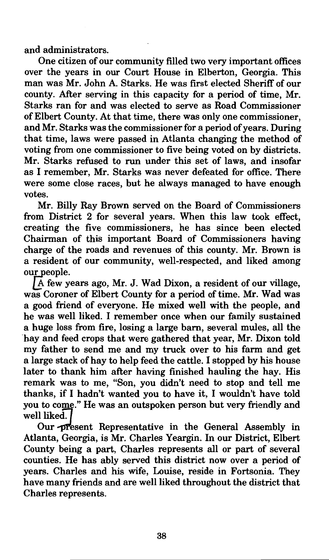and administrators.

One citizen of our community filled two very important offices over the years in our Court House in Elberton, Georgia. This man was Mr. John A. Starks. He was first elected Sheriff of our county. After serving in this capacity for a period of time, Mr. Starks ran for and was elected to serve as Road Commissioner of Elbert County. At that time, there was only one commissioner, and Mr. Starks was the commissioner for a period of years. During that time, laws were passed in Atlanta changing the method of voting from one commissioner to five being voted on by districts. Mr. Starks refused to run under this set of laws, and insofar as I remember, Mr. Starks was never defeated for office. There were some close races, but he always managed to have enough votes.

Mr. Billy Ray Brown served on the Board of Commissioners from District 2 for several years. When this law took effect, creating the five commissioners, he has since been elected Chairman of this important Board of Commissioners having charge of the roads and revenues of this county. Mr. Brown is a resident of our community, well-respected, and liked among our people.

 $\overline{A}$  few years ago, Mr. J. Wad Dixon, a resident of our village, was Coroner of Elbert County for a period of time. Mr. Wad was a good friend of everyone. He mixed well with the people, and he was well liked. I remember once when our family sustained a huge loss from fire, losing a large barn, several mules, all the hay and feed crops that were gathered that year, Mr. Dixon told my father to send me and my truck over to his farm and get a large stack of hay to help feed the cattle. I stopped by his house later to thank him after having finished hauling the hay. His remark was to me, "Son, you didn't need to stop and tell me thanks, if I hadn't wanted you to have it, I wouldn't have told you to come." He was an outspoken person but very friendly and well liked.

Our *present* Representative in the General Assembly in Atlanta, Georgia, is Mr. Charles Yeargin. In our District, Elbert County being a part, Charles represents all or part of several counties. He has ably served this district now over a period of years. Charles and his wife, Louise, reside in Fortsonia. They have many friends and are well liked throughout the district that Charles represents.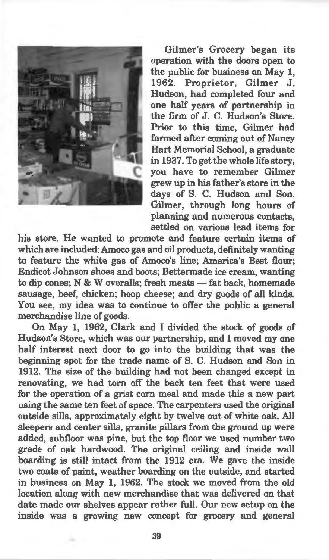

Gilmer's Grocery began its operation with the doors open to the public for business on May 1, 1962. Proprietor, Gilmer J. Hudson, had completed four and one half years of partnership in the firm of J. C. Hudson's Store. Prior to this time, Gilmer had farmed after coming out of Nancy Hart Memorial School, a graduate in 1937. To get the whole life story, you have to remember Gilmer grew up in his father's store in the days of S. C. Hudson and Son. Gilmer, through long hours of planning and numerous contacts, settled on various lead items for

his store. He wanted to promote and feature certain items of which are included: Amoco gas and oil products, definitely wanting to feature the white gas of Amoco's line; America's Best flour; Endicot Johnson shoes and boots; Bettermade ice cream, wanting to dip cones; N & W overalls; fresh meats - fat back, homemade sausage, beef, chicken; hoop cheese; and dry goods of all kinds. You see, my idea was to continue to offer the public a general merchandise line of goods.

On May 1, 1962, Clark and I divided the stock of goods of Hudson's Store, which was our partnership, and I moved my one half interest next door to go into the building that was the beginning spot for the trade name of S. C. Hudson and Son in 1912. The size of the building had not been changed except in renovating, we had tom off the back ten feet that were used for the operation of a grist corn meal and made this a new part using the same ten feet of space. The carpenters used the original outside sills, approximately eight by twelve out of white oak. All sleepers and center sills, granite pillars from the ground up were added, subfloor was pine, but the top floor we used number two grade of oak hardwood. The original ceiling and inside wall boarding is still intact from the 1912 era. We gave the inside two coats of paint, weather boarding on the outside, and started in business on May 1, 1962. The stock we moved from the old location along with new merchandise that was delivered on that date made our shelves appear rather full. Our new setup on the inside was a growing new concept for grocery and general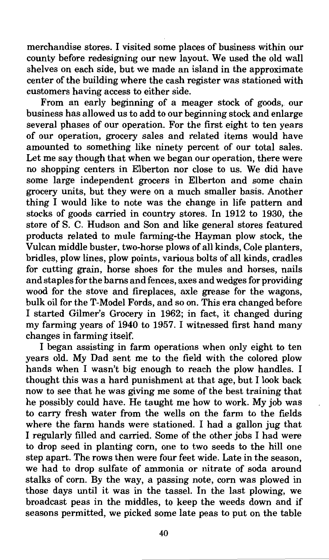merchandise stores. I visited some places of business within our county before redesigning our new layout. We used the old wall shelves on each side, but we made an island in the approximate center of the building where the cash register was stationed with customers having access to either side.

From an early beginning of a meager stock of goods, our business has allowed us to add to our beginning stock and enlarge several phases of our operation. For the first eight to ten years of our operation, grocery sales and related items would have amounted to something like ninety percent of our total sales. Let me say though that when we began our operation, there were no shopping centers in Elberton nor close to us. We did have some large independent grocers in Elberton and some chain grocery units, but they were on a much smaller basis. Another thing I would like to note was the change in life pattern and stocks of goods carried in country stores. In 1912 to 1930, the store of S. C. Hudson and Son and like general stores featured products related to mule farming-the Hayman plow stock, the Vulcan middle buster, two-horse plows of all kinds, Cole planters, bridles, plow lines, plow points, various bolts of all kinds, cradles for cutting grain, horse shoes for the mules and horses, nails and staples for the barns and fences, axes and wedges for providing wood for the stove and fireplaces, axle grease for the wagons, bulk oil for the T-Model Fords, and so on. This era changed before I started Gilmer's Grocery in 1962; in fact, it changed during my farming years of 1940 to 1957. I witnessed first hand many changes in farming itself.

I began assisting in farm operations when only eight to ten years old. My Dad sent me to the field with the colored plow hands when I wasn't big enough to reach the plow handles. I thought this was a hard punishment at that age, but I look back now to see that he was giving me some of the best training that he possibly could have. He taught me how to work. My job was to carry fresh water from the wells on the farm to the fields where the farm hands were stationed. I had a gallon jug that I regularly filled and carried. Some of the other jobs I had were to drop seed in planting corn, one to two seeds to the hill one step apart. The rows then were four feet wide. Late in the season, we had to drop sulfate of ammonia or nitrate of soda around stalks of corn. By the way, a passing note, corn was plowed in those days until it was in the tassel. In the last plowing, we broadcast peas in the middles, to keep the weeds down and if seasons permitted, we picked some late peas to put on the table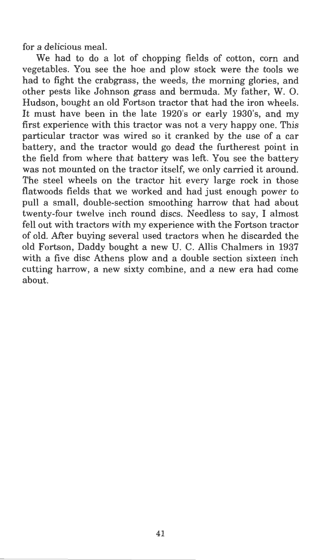for a delicious meal.

We had to do a lot of chopping fields of cotton, corn and vegetables. You see the hoe and plow stock were the tools we had to fight the crabgrass, the weeds, the morning glories, and other pests like Johnson grass and bermuda. My father, W. 0. Hudson, bought an old Fortson tractor that had the iron wheels. It must have been in the late 1920's or early 1930's, and my first experience with this tractor was not a very happy one. This particular tractor was wired so it cranked by the use of a car battery, and the tractor would go dead the furtherest point in the field from where that battery was left. You see the battery was not mounted on the tractor itself, we only carried it around. The steel wheels on the tractor hit every large rock in those flatwoods fields that we worked and had just enough power to **pull** a small, double-section smoothing harrow that had about twenty-four twelve inch round discs. Needless to say, I almost fell out with tractors with my experience with the Fortson tractor of old. Mter buying several used tractors when he discarded the old Fortson, Daddy bought a new U. C. Allis Chalmers in 1937 with a five disc Athens plow and a double section sixteen inch cutting harrow, a new sixty combine, and a new era had come about.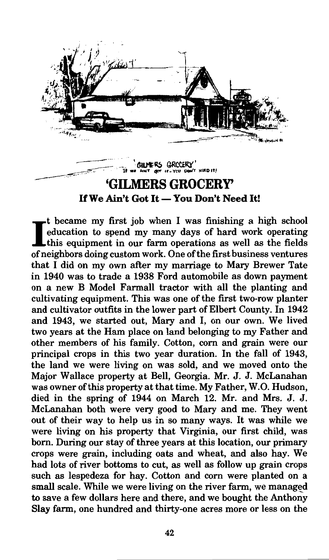

~~ --- - ·· . I (;JLJ"l'~ QRCCER.Y'' **1 .. WI "'•tl(f .,- If- VCU OCM(f J.IRD IT}**  \_---c- .. **'GILMERS GROCERY'**  If **We Ain't Got It-You Don't Need It!** 

It became my first job when I was finishing a high school<br>education to spend my many days of hard work operating<br>this equipment in our form equations as well as the fields this equipment in our farm operations as well as the fields of neighbors doing custom work. One of the first business ventures that I did on my own after my marriage to Mary Brewer Tate in 1940 was to trade a 1938 Ford automobile as down payment on a new B Model Farmall tractor with all the planting and cultivating equipment. This was one of the first two-row planter and cultivator outfits in the lower part of Elbert County. In 1942 and 1943, we started out, Mary and I, on our own. We lived two years at the Ham place on land belonging to my Father and other members of his family. Cotton, com and grain were our principal crops in this two year duration. In the fall of 1943, the land we were living on was sold, and we moved onto the Major Wallace property at Bell, Georgia. Mr. J. J. McLanahan was owner of this property at that time. My Father, W.O. Hudson, died in the spring of 1944 on March 12. Mr. and Mrs. J. J. McLanahan both were very good to Mary and me. They went out of their way to help us in so many ways. It was while we were living on his property that Virginia, our first child, was born. During our stay of three years at this location, our primary crops were grain, including oats and wheat, and also hay. We had lots of river bottoms to cut, as well as follow up grain crops such as lespedeza for hay. Cotton and com were planted on a small scale. While we were living on the river farm, we managed to save a few dollars here and there, and we bought the Anthony Slay farm, one hundred and thirty-one acres more or less on the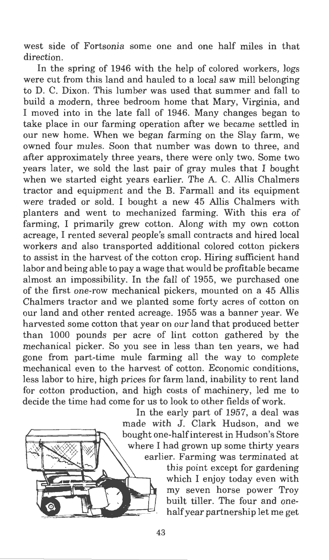west side of Fortsonia some one and one half miles in that direction.

In the spring of 1946 with the help of colored workers, logs were cut from this land and hauled to a local saw mill belonging to D. C. Dixon. This lumber was used that summer and fall to build a modern, three bedroom home that Mary, Virginia, and I moved into in the late fall of 1946. Many changes began to take place in our farming operation after we became settled in our new home. When we began farming on the Slay farm, we owned four mules. Soon that number was down to three, and after approximately three years, there were only two. Some two years later, we sold the last pair of gray mules that I bought when we started eight years earlier. The A. C. Allis Chalmers tractor and equipment and the B. Farmall and its equipment were traded or sold. I bought a new 45 Allis Chalmers with planters and went to mechanized farming. With this era of farming, I primarily grew cotton. Along with my own cotton acreage, I rented several people's small contracts and hired local workers and also transported additional colored cotton pickers to assist in the harvest of the cotton crop. Hiring sufficient hand labor and being able to pay a wage that would be profitable became almost an impossibility. In the fall of 1955, we purchased one of the first one-row mechanical pickers, mounted on a 45 Allis Chalmers tractor and we planted some forty acres of cotton on our land and other rented acreage. 1955 was a banner year. We harvested some cotton that year on our land that produced better than 1000 pounds per acre of lint cotton gathered by the mechanical picker. So you see in less than ten years, we had gone from part-time mule farming all the way to complete mechanical even to the harvest of cotton. Economic conditions, less labor to hire, high prices for farm land, inability to rent land for cotton production, and high costs of machinery, led me to decide the time had come for us to look to other fields of work.



In the early part of 1957, a deal was made with J. Clark Hudson, and we bought one-half interest in Hudson's Store where I had grown up some thirty years earlier. Farming was terminated at this point except for gardening which I enjoy today even with my seven horse power Troy built tiller. The four and one-

half year partnership let me get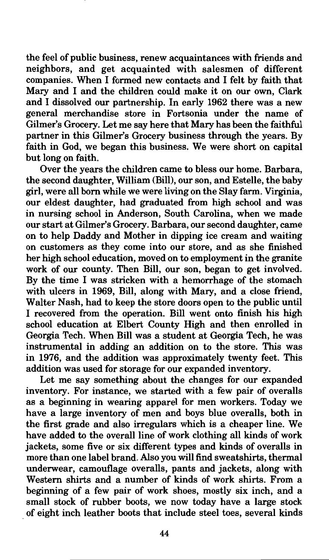the feel of public business, renew acquaintances with friends and neighbors, and get acquainted with salesmen of different companies. When I formed new contacts and I felt by faith that Mary and I and the children could make it on our own, Clark and I dissolved our partnership. In early 1962 there was a new general merchandise store in Fortsonia under the name of Gilmer's Grocery. Let me say here that Mary has been the faithful partner in this Gilmer's Grocery business through the years. By faith in God, we began this business. We were short on capital but long on faith.

Over the years the children came to bless our home. Barbara, the second daughter, William (Bill), our son, and Estelle, the baby girl, were all born while we were living on the Slay farm. Virginia, our eldest daughter, had graduated from high school and was in nursing school in Anderson, South Carolina, when we made our start at Gilmer's Grocery. Barbara, our second daughter, came on to help Daddy and Mother in dipping ice cream and waiting on customers as they come into our store, and as she finished her high school education, moved on to employment in the granite work of our county. Then Bill, our son, began to get involved. By the time I was stricken with a hemorrhage of the stomach with ulcers in 1969, Bill, along with Mary, and a close friend, Walter Nash, had to keep the store doors open to the public until I recovered from the operation. Bill went onto finish his high school education at Elbert County High and then enrolled in Georgia Tech. When Bill was a student at Georgia Tech, he was instrumental in adding an addition on to the store. This was in 1976, and the addition was approximately twenty feet. This addition was used for storage for our expanded inventory.

Let me say something about the changes for our expanded inventory. For instance, we started with a few pair of overalls as a beginning in wearing apparel for men workers. Today we have a large inventory of men and boys blue overalls, both in the first grade and also irregulars which is a cheaper line. We have added to the overall line of work clothing all kinds of work jackets, some five or six different types and kinds of overalls in more than one label brand. Also you will find sweatshirts, thermal underwear, camouflage overalls, pants and jackets, along with Western shirts and a number of kinds of work shirts. From a beginning of a few pair of work shoes, mostly six inch, and a small stock of rubber boots, we now today have a large stock . of eight inch leather boots that include steel toes, several kinds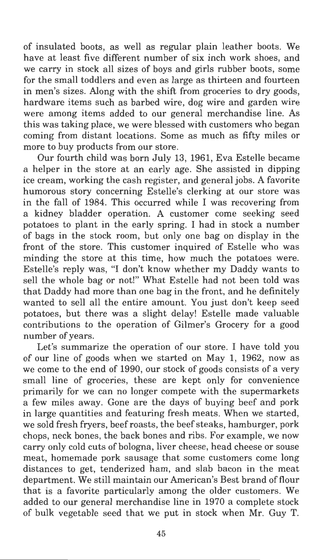of insulated boots, as well as regular plain leather boots. We have at least five different number of six inch work shoes, and we carry in stock all sizes of boys and girls rubber boots, some for the small toddlers and even as large as thirteen and fourteen in men's sizes. Along with the shift from groceries to dry goods, hardware items such as barbed wire, dog wire and garden wire were among items added to our general merchandise line. As this was taking place, we were blessed with customers who began coming from distant locations. Some as much as fifty miles or more to buy products from our store.

Our fourth child was born July 13, 1961, Eva Estelle became a helper in the store at an early age. She assisted in dipping ice cream, working the cash register, and general jobs. A favorite humorous story concerning Estelle's clerking at our store was in the fall of 1984. This occurred while I was recovering from a kidney bladder operation. A customer come seeking seed potatoes to plant in the early spring. I had in stock a number of bags in the stock room, but only one bag on display in the front of the store. This customer inquired of Estelle who was minding the store at this time, how much the potatoes were. Estelle's reply was, "I don't know whether my Daddy wants to sell the whole bag or not!" What Estelle had not been told was that Daddy had more than one bag in the front, and he definitely wanted to sell all the entire amount. You just don't keep seed potatoes, but there was a slight delay! Estelle made valuable contributions to the operation of Gilmer's Grocery for a good number of years.

Let's summarize the operation of our store. I have told you of our line of goods when we started on May 1, 1962, now as we come to the end of 1990, our stock of goods consists of a very small line of groceries, these are kept only for convenience primarily for we can no longer compete with the supermarkets a few miles away. Gone are the days of buying beef and pork in large quantities and featuring fresh meats. When we started, we sold fresh fryers, beef roasts, the beef steaks, hamburger, pork chops, neck bones, the back bones and ribs. For example, we now carry only cold cuts of bologna, liver cheese, head cheese or souse meat, homemade pork sausage that some customers come long distances to get, tenderized ham, and slab bacon in the meat department. We still maintain our American's Best brand of flour that is a favorite particularly among the older customers. We added to our general merchandise line in 1970 a complete stock of bulk vegetable seed that we put in stock when Mr. Guy T.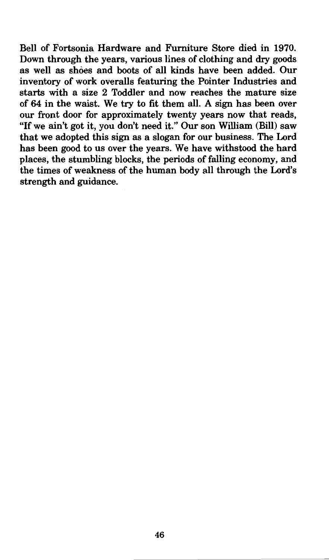Bell of Fortsonia Hardware and Furniture Store died in 1970. Down through the years, various lines of clothing and dry goods as well as shoes and boots of all kinds have been added. Our inventory of work overalls featuring the Pointer Industries and starts with a size 2 Toddler and now reaches the mature size of 64 in the waist. We try to fit them all. A sign has been over our front door for approximately twenty years now that reads, "If we ain't got it, you don't need it." Our son William (Bill) saw that we adopted this sign as a slogan for our business. The Lord has been good to us over the years. We have withstood the hard places, the stumbling blocks, the periods of falling economy, and the times of weakness of the human body all through the Lord's strength and guidance.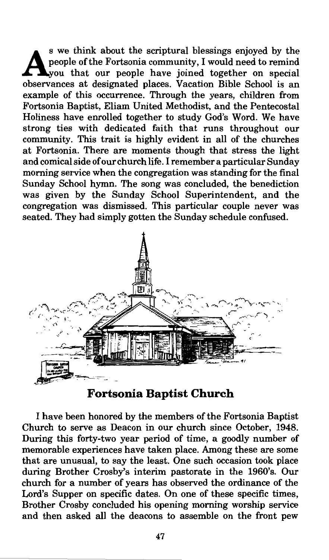S we think about the scriptural blessings enjoyed by the people of the Fortsonia community, I would need to remind  $\Box$ you that our people have joined together on special observances at designated places. Vacation Bible School is an example of this occurrence. Through the years, children from Fortsonia Baptist, Eliam United Methodist, and the Pentecostal Holiness have enrolled together to study God's Word. We have strong ties with dedicated faith that runs throughout our community. This trait is highly evident in all of the churches at Fortsonia. There are moments though that stress the light and comical side of our church life. I remember a particular Sunday morning service when the congregation was standing for the final Sunday School hymn. The song was concluded, the benediction was given by the Sunday School Superintendent, and the congregation was dismissed. This particular couple never was seated. They had simply gotten the Sunday schedule confused.



**Fortsonia Baptist Church** 

I have been honored by the members of the Fortsonia Baptist Church to serve as Deacon in our church since October, 1948. During this forty-two year period of time, a goodly number of memorable experiences have taken place. Among these are some that are unusual, to say the least. One such occasion took place during Brother Crosby's interim pastorate in the 1960's. Our church for a number of years has observed the ordinance of the Lord's Supper on specific dates. On one of these specific times Brother Crosby concluded his opening morning worship service and then asked all the deacons to assemble on the front pew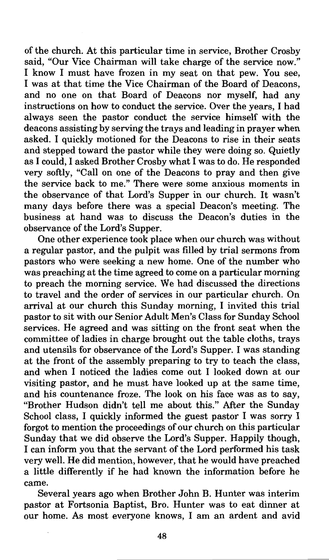of the church. At this particular time in service, Brother Crosby said, "Our Vice Chairman will take charge of the service now." I know I must have frozen in my seat on that pew. You see, I was at that time the Vice Chairman of the Board of Deacons, and no one on that Board of Deacons nor myself, had any instructions on how to conduct the service. Over the years, I had always seen the pastor conduct the service himself with the deacons assisting by serving the trays and leading in prayer when asked. I quickly motioned for the Deacons to rise in their seats and stepped toward the pastor while they were doing so. Quietly as I could, I asked Brother Crosby what I was to do. He responded very softly, "Call on one of the Deacons to pray and then give the service back to me." There were some anxious moments in the observance of that Lord's Supper in our church. It wasn't many days before there was a special Deacon's meeting. The business at hand was to discuss the Deacon's duties in the observance of the Lord's Supper.

One other experience took place when our church was without a regular pastor, and the pulpit was filled by trial sermons from pastors who were seeking a new home. One of the number who was preaching at the time agreed to come on a particular morning to preach the morning service. We had discussed the directions to travel and the order of services in our particular church. On arrival at our church this Sunday morning, I invited this trial pastor to sit with our Senior Adult Men's Class for Sunday School services. He agreed and was sitting on the front seat when the committee of ladies in charge brought out the table cloths, trays and utensils for observance of the Lord's Supper. I was standing at the front of the assembly preparing to try to teach the class, and when I noticed the ladies come out I looked down at our visiting pastor, and he must have looked up at the same time, and his countenance froze. The look on his face was as to say, "Brother Hudson didn't tell me about this." Mter the Sunday School class, I quickly informed the guest pastor I was sorry I forgot to mention the proceedings of our church on this particular Sunday that we did observe the Lord's Supper. Happily though, I can inform you that the servant of the Lord performed his task very well. He did mention, however, that he would have preached a little differently if he had known the information before he came.

Several years ago when Brother John B. Hunter was interim pastor at Fortsonia Baptist, Bro. Hunter was to eat dinner at our home. As most everyone knows, I am an ardent and avid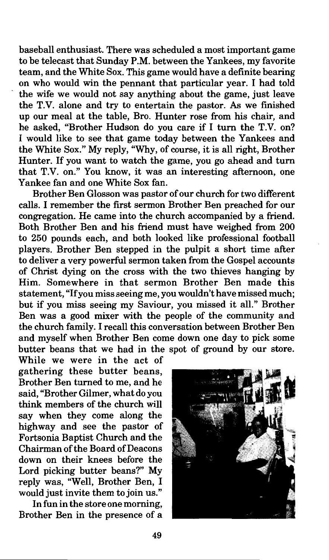baseball enthusiast. There was scheduled a most important game to be telecast that Sunday P.M. between the Yankees, my favorite team, and the White Sox. This game would have a definite bearing on who would win the pennant that particular year. I had told the wife we would not say anything about the game, just leave the T.V. alone and try to entertain the pastor. As we finished up our meal at the table, Bro. Hunter rose from his chair, and he asked, "Brother Hudson do you care if I turn the T.V. on? I would like to see that game today between the Yankees and the White Sox." My reply, "Why, of course, it is all right, Brother Hunter. If you want to watch the game, you go ahead and turn that T.V. on." You know, it was an interesting afternoon, one Yankee fan and one White Sox fan.

Brother Ben Glosson was pastor of our church for two different calls. I remember the first sermon Brother Ben preached for our congregation. He came into the church accompanied by a friend. Both Brother Ben and his friend must have weighed from 200 to 250 pounds each, and both looked like professional football players. Brother Ben stepped in the pulpit a short time after to deliver a very powerful sermon taken from the Gospel accounts of Christ dying on the cross with the two thieves hanging by Him. Somewhere in that sermon Brother Ben made this statement, "If you miss seeing me, you wouldn't have missed much; but if you miss seeing my Saviour, you missed it all." Brother Ben was a good mixer with the people of the community and the church family. I recall this conversation between Brother Ben and myself when Brother Ben come down one day to pick some butter beans that we had in the spot of ground by our store.

While we were in the act of gathering these butter beans, Brother Ben turned to me, and he said, "Brother Gilmer, what do you think members of the church will say when they come along the highway and see the pastor of Fortsonia Baptist Church and the Chairman of the Board of Deacons down on their knees before the Lord picking butter beans?" My reply was, "Well, Brother Ben, I would just invite them to join us."

In fun in the store one morning, Brother Ben in the presence of a

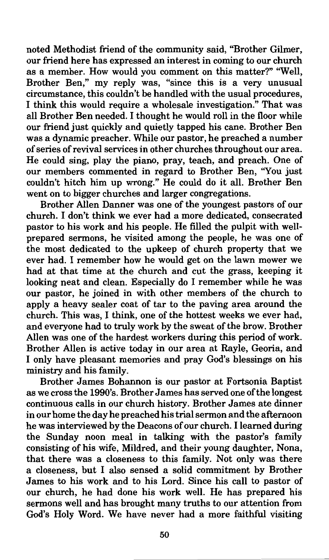noted Methodist friend of the community said, "Brother Gilmer, our friend here has expressed an interest in coming to our church as a member. How would you comment on this matter?" "Well, Brother Ben," my reply was, "since this is a very unusual circumstance, this couldn't be handled with the usual procedures, I think this would require a wholesale investigation." That was all Brother Ben needed. I thought he would roll in the floor while our friend just quickly and quietly tapped his cane. Brother Ben was a dynamic preacher. While our pastor, he preached a number of series of revival services in other churches throughout our area. He could sing, play the piano, pray, teach, and preach. One of our members commented in regard to Brother Ben, "You just couldn't hitch him up wrong." He could do it all. Brother Ben went on to bigger churches and larger congregations.

Brother Allen Danner was one of the youngest pastors of our church. I don't think we ever had a more dedicated, consecrated pastor to his work and his people. He filled the pulpit with wellprepared sermons, he visited among the people, he was one of the most dedicated to the upkeep of church property that we ever had. I remember how he would get on the lawn mower we had at that time at the church and cut the grass, keeping it looking neat and clean. Especially do I remember while he was our pastor, he joined in with other members of the church to apply a heavy sealer coat of tar to the paving area around the church. This was, I think, one of the hottest weeks we ever had, and everyone had to truly work by the sweat of the brow. Brother Allen was one of the hardest workers during this period of work. Brother Allen is active today in our area at Rayle, Georia, and I only have pleasant memories and pray God's blessings on his ministry and his family.

Brother James Bohannon is our pastor at Fortsonia Baptist as we cross the 1990's. Brother James has served one of the longest continuous calls in our church history. Brother James ate dinner in our home the day he preached his trial sermon and the afternoon he was interviewed by the Deacons of our church. I learned during the Sunday noon meal in talking with the pastor's family consisting of his wife, Mildred, and their young daughter, Nona, that there was a closeness to this family. Not only was there a closeness, but I also sensed a solid commitment by Brother James to his work and to his Lord. Since his call to pastor of our church, he had done his work well. He has prepared his sermons well and has brought many truths to our attention from God's Holy Word. We have never had a more faithful visiting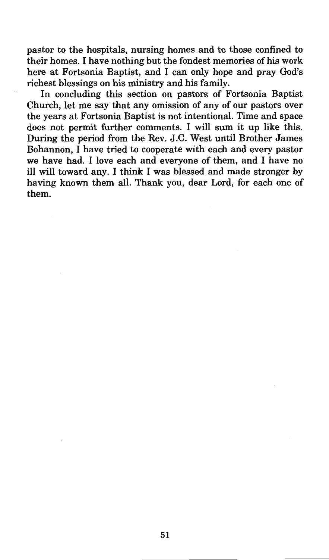pastor to the hospitals, nursing homes and to those confined to their homes. I have nothing but the fondest memories of his work here at Fortsonia Baptist, and I can only hope and pray God's richest blessings on his ministry and his family.

In concluding this section on pastors of Fortsonia Baptist Church, let me say that any omission of any of our pastors over the years at Fortsonia Baptist is not intentional. Time and space does not permit further comments. I will sum it up like this. During the period from the Rev. J.C. West until Brother James Bohannon, I have tried to cooperate with each and every pastor we have had. I love each and everyone of them, and I have no ill will toward any. I think I was blessed and made stronger by having known them all. Thank you, dear Lord, for each one of them.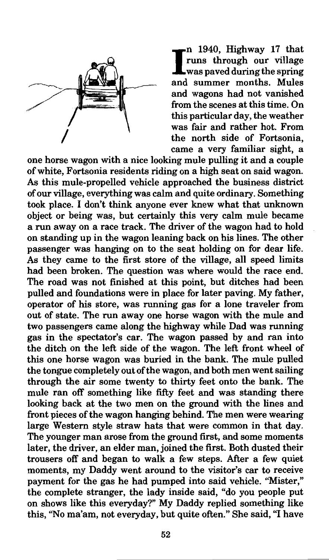

I n 1940, Highway 17 that runs through our village was paved during the spring and summer months. Mules and wagons had not vanished from the scenes at this time. On this particular day, the weather was fair and rather hot. From the north side of Fortsonia, came a very familiar sight, a

one horse wagon with a nice looking mule pulling it and a couple of white, Fortsonia residents riding on a high seat on said wagon. As this mule-propelled vehicle approached the business district of our village, everything was calm and quite ordinary. Something took place. I don't think anyone ever knew what that unknown object or being was, but certainly this very calm mule became a run away on a race track. The driver of the wagon had to hold on standing up in the wagon leaning back on his lines. The other passenger was hanging on to the seat holding on for dear life. As they came to the first store of the village, all speed limits had been broken. The question was where would the race end. The road was not finished at this point, but ditches had been pulled and foundations were in place for later paving. My father, operator of his store, was running gas for a lone traveler from out of state. The run away one horse wagon with the mule and two passengers came along the highway while Dad was running gas in the spectator's car. The wagon passed by and ran into the ditch on the left side of the wagon. The left front wheel of this one horse wagon was buried in the bank. The mule pulled the tongue completely out of the wagon, and both men went sailing through the air some twenty to thirty feet onto the bank. The mule ran off something like fifty feet and was standing there looking back at the two men on the ground with the lines and front pieces of the wagon hanging behind. The men were wearing large Western style straw hats that were common in that day. The younger man arose from the ground first, and some moments later, the driver, an elder man, joined the first. Both dusted their trousers off and began to walk a few steps. After a few quiet moments, my Daddy went around to the visitor's car to receive payment for the gas he had pumped into said vehicle. "Mister," the complete stranger, the lady inside said, "do you people put on shows like this everyday?" My Daddy replied something like this, "No ma'am, not everyday, but quite often." She said, "I have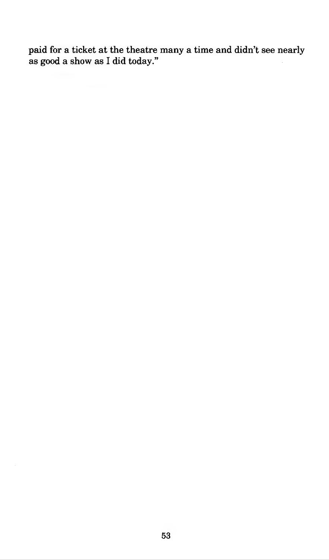paid for a ticket at the theatre many a time and didn't see nearly as good a show as I did today."